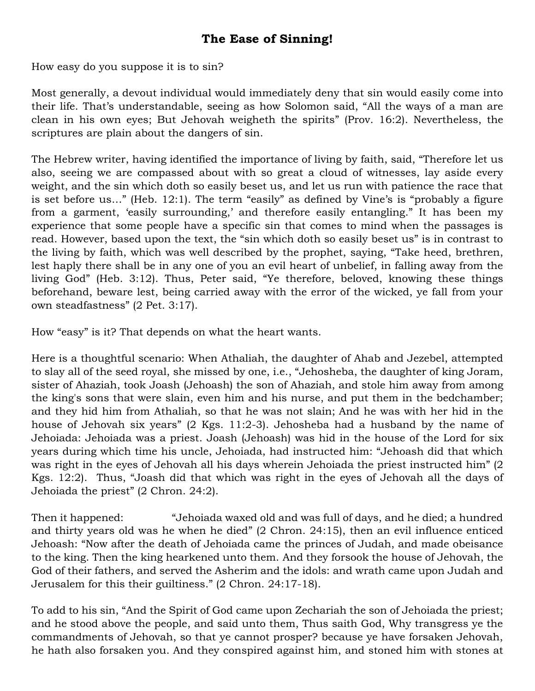## **The Ease of Sinning!**

How easy do you suppose it is to sin?

Most generally, a devout individual would immediately deny that sin would easily come into their life. That's understandable, seeing as how Solomon said, "All the ways of a man are clean in his own eyes; But Jehovah weigheth the spirits" (Prov. 16:2). Nevertheless, the scriptures are plain about the dangers of sin.

The Hebrew writer, having identified the importance of living by faith, said, "Therefore let us also, seeing we are compassed about with so great a cloud of witnesses, lay aside every weight, and the sin which doth so easily beset us, and let us run with patience the race that is set before us…" (Heb. 12:1). The term "easily" as defined by Vine's is "probably a figure from a garment, 'easily surrounding,' and therefore easily entangling." It has been my experience that some people have a specific sin that comes to mind when the passages is read. However, based upon the text, the "sin which doth so easily beset us" is in contrast to the living by faith, which was well described by the prophet, saying, "Take heed, brethren, lest haply there shall be in any one of you an evil heart of unbelief, in falling away from the living God" (Heb. 3:12). Thus, Peter said, "Ye therefore, beloved, knowing these things beforehand, beware lest, being carried away with the error of the wicked, ye fall from your own steadfastness" (2 Pet. 3:17).

How "easy" is it? That depends on what the heart wants.

Here is a thoughtful scenario: When Athaliah, the daughter of Ahab and Jezebel, attempted to slay all of the seed royal, she missed by one, i.e., "Jehosheba, the daughter of king Joram, sister of Ahaziah, took Joash (Jehoash) the son of Ahaziah, and stole him away from among the king's sons that were slain, even him and his nurse, and put them in the bedchamber; and they hid him from Athaliah, so that he was not slain; And he was with her hid in the house of Jehovah six years" (2 Kgs. 11:2-3). Jehosheba had a husband by the name of Jehoiada: Jehoiada was a priest. Joash (Jehoash) was hid in the house of the Lord for six years during which time his uncle, Jehoiada, had instructed him: "Jehoash did that which was right in the eyes of Jehovah all his days wherein Jehoiada the priest instructed him" (2 Kgs. 12:2). Thus, "Joash did that which was right in the eyes of Jehovah all the days of Jehoiada the priest" (2 Chron. 24:2).

Then it happened: "Jehoiada waxed old and was full of days, and he died; a hundred and thirty years old was he when he died" (2 Chron. 24:15), then an evil influence enticed Jehoash: "Now after the death of Jehoiada came the princes of Judah, and made obeisance to the king. Then the king hearkened unto them. And they forsook the house of Jehovah, the God of their fathers, and served the Asherim and the idols: and wrath came upon Judah and Jerusalem for this their guiltiness." (2 Chron. 24:17-18).

To add to his sin, "And the Spirit of God came upon Zechariah the son of Jehoiada the priest; and he stood above the people, and said unto them, Thus saith God, Why transgress ye the commandments of Jehovah, so that ye cannot prosper? because ye have forsaken Jehovah, he hath also forsaken you. And they conspired against him, and stoned him with stones at